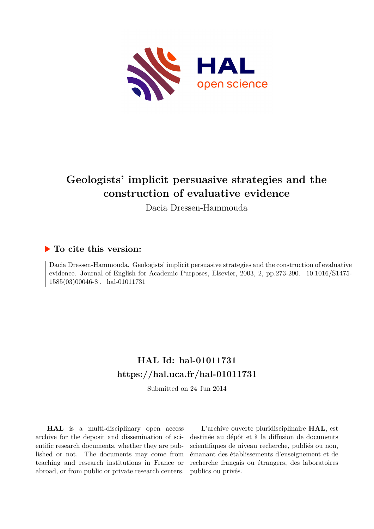

# **Geologists' implicit persuasive strategies and the construction of evaluative evidence**

Dacia Dressen-Hammouda

### **To cite this version:**

Dacia Dressen-Hammouda. Geologists' implicit persuasive strategies and the construction of evaluative evidence. Journal of English for Academic Purposes, Elsevier, 2003, 2, pp.273-290. 10.1016/S1475- $1585(03)00046-8$ . hal-01011731

## **HAL Id: hal-01011731 <https://hal.uca.fr/hal-01011731>**

Submitted on 24 Jun 2014

**HAL** is a multi-disciplinary open access archive for the deposit and dissemination of scientific research documents, whether they are published or not. The documents may come from teaching and research institutions in France or abroad, or from public or private research centers.

L'archive ouverte pluridisciplinaire **HAL**, est destinée au dépôt et à la diffusion de documents scientifiques de niveau recherche, publiés ou non, émanant des établissements d'enseignement et de recherche français ou étrangers, des laboratoires publics ou privés.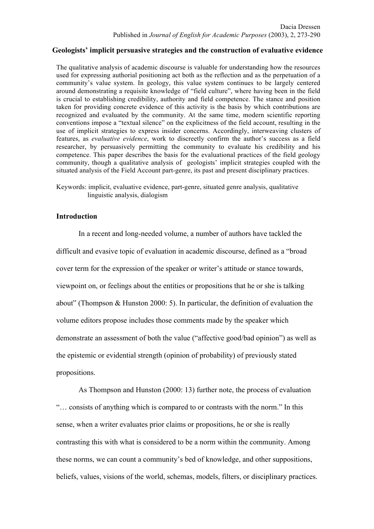#### **Geologists' implicit persuasive strategies and the construction of evaluative evidence**

The qualitative analysis of academic discourse is valuable for understanding how the resources used for expressing authorial positioning act both as the reflection and as the perpetuation of a community's value system. In geology, this value system continues to be largely centered around demonstrating a requisite knowledge of "field culture", where having been in the field is crucial to establishing credibility, authority and field competence. The stance and position taken for providing concrete evidence of this activity is the basis by which contributions are recognized and evaluated by the community. At the same time, modern scientific reporting conventions impose a "textual silence" on the explicitness of the field account, resulting in the use of implicit strategies to express insider concerns. Accordingly, interweaving clusters of features, as *evaluative evidence*, work to discreetly confirm the author's success as a field researcher, by persuasively permitting the community to evaluate his credibility and his competence. This paper describes the basis for the evaluational practices of the field geology community, though a qualitative analysis of geologists' implicit strategies coupled with the situated analysis of the Field Account part-genre, its past and present disciplinary practices.

Keywords: implicit, evaluative evidence, part-genre, situated genre analysis, qualitative linguistic analysis, dialogism

#### **Introduction**

In a recent and long-needed volume, a number of authors have tackled the difficult and evasive topic of evaluation in academic discourse, defined as a "broad cover term for the expression of the speaker or writer's attitude or stance towards, viewpoint on, or feelings about the entities or propositions that he or she is talking about" (Thompson & Hunston 2000: 5). In particular, the definition of evaluation the volume editors propose includes those comments made by the speaker which demonstrate an assessment of both the value ("affective good/bad opinion") as well as the epistemic or evidential strength (opinion of probability) of previously stated propositions.

As Thompson and Hunston (2000: 13) further note, the process of evaluation "… consists of anything which is compared to or contrasts with the norm." In this sense, when a writer evaluates prior claims or propositions, he or she is really contrasting this with what is considered to be a norm within the community. Among these norms, we can count a community's bed of knowledge, and other suppositions, beliefs, values, visions of the world, schemas, models, filters, or disciplinary practices.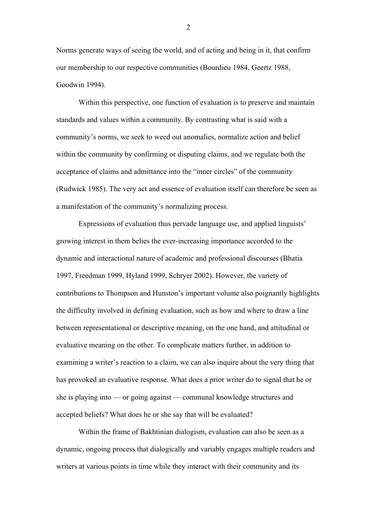Norms generate ways of seeing the world, and of acting and being in it, that confirm our membership to our respective communities (Bourdieu 1984, Geertz 1988, Goodwin 1994).

Within this perspective, one function of evaluation is to preserve and maintain standards and values within a community. By contrasting what is said with a community's norms, we seek to weed out anomalies, normalize action and belief within the community by confirming or disputing claims, and we regulate both the acceptance of claims and admittance into the "inner circles" of the community (Rudwick 1985). The very act and essence of evaluation itself can therefore be seen as a manifestation of the community's normalizing process.

Expressions of evaluation thus pervade language use, and applied linguists' growing interest in them belies the ever-increasing importance accorded to the dynamic and interactional nature of academic and professional discourses (Bhatia 1997, Freedman 1999, Hyland 1999, Schryer 2002). However, the variety of contributions to Thompson and Hunston's important volume also poignantly highlights the difficulty involved in defining evaluation, such as how and where to draw a line between representational or descriptive meaning, on the one hand, and attitudinal or evaluative meaning on the other. To complicate matters further, in addition to examining a writer's reaction to a claim, we can also inquire about the very thing that has provoked an evaluative response. What does a prior writer do to signal that he or she is playing into — or going against — communal knowledge structures and accepted beliefs? What does he or she say that will be evaluated?

Within the frame of Bakhtinian dialogism, evaluation can also be seen as a dynamic, ongoing process that dialogically and variably engages multiple readers and writers at various points in time while they interact with their community and its

 $\mathcal{L}$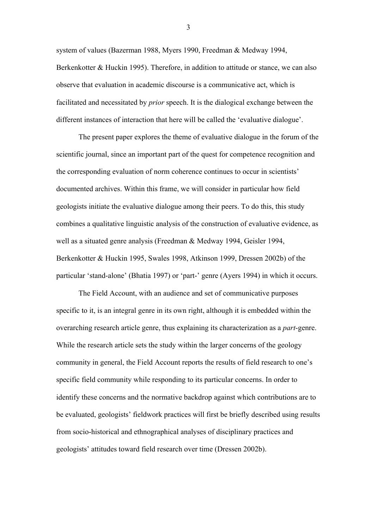system of values (Bazerman 1988, Myers 1990, Freedman & Medway 1994, Berkenkotter & Huckin 1995). Therefore, in addition to attitude or stance, we can also observe that evaluation in academic discourse is a communicative act, which is facilitated and necessitated by *prior* speech. It is the dialogical exchange between the different instances of interaction that here will be called the 'evaluative dialogue'.

The present paper explores the theme of evaluative dialogue in the forum of the scientific journal, since an important part of the quest for competence recognition and the corresponding evaluation of norm coherence continues to occur in scientists' documented archives. Within this frame, we will consider in particular how field geologists initiate the evaluative dialogue among their peers. To do this, this study combines a qualitative linguistic analysis of the construction of evaluative evidence, as well as a situated genre analysis (Freedman & Medway 1994, Geisler 1994, Berkenkotter & Huckin 1995, Swales 1998, Atkinson 1999, Dressen 2002b) of the particular 'stand-alone' (Bhatia 1997) or 'part-' genre (Ayers 1994) in which it occurs.

The Field Account, with an audience and set of communicative purposes specific to it, is an integral genre in its own right, although it is embedded within the overarching research article genre, thus explaining its characterization as a *part*-genre. While the research article sets the study within the larger concerns of the geology community in general, the Field Account reports the results of field research to one's specific field community while responding to its particular concerns. In order to identify these concerns and the normative backdrop against which contributions are to be evaluated, geologists' fieldwork practices will first be briefly described using results from socio-historical and ethnographical analyses of disciplinary practices and geologists' attitudes toward field research over time (Dressen 2002b).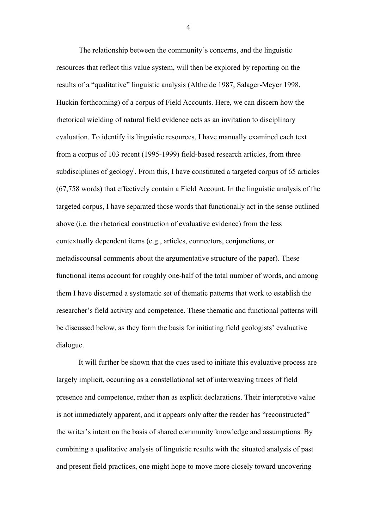The relationship between the community's concerns, and the linguistic resources that reflect this value system, will then be explored by reporting on the results of a "qualitative" linguistic analysis (Altheide 1987, Salager-Meyer 1998, Huckin forthcoming) of a corpus of Field Accounts. Here, we can discern how the rhetorical wielding of natural field evidence acts as an invitation to disciplinary evaluation. To identify its linguistic resources, I have manually examined each text from a corpus of 103 recent (1995-1999) field-based research articles, from three subdisciplines of geology<sup>i</sup>. From this, I have constituted a targeted corpus of 65 articles (67,758 words) that effectively contain a Field Account. In the linguistic analysis of the targeted corpus, I have separated those words that functionally act in the sense outlined above (i.e. the rhetorical construction of evaluative evidence) from the less contextually dependent items (e.g., articles, connectors, conjunctions, or metadiscoursal comments about the argumentative structure of the paper). These functional items account for roughly one-half of the total number of words, and among them I have discerned a systematic set of thematic patterns that work to establish the researcher's field activity and competence. These thematic and functional patterns will be discussed below, as they form the basis for initiating field geologists' evaluative dialogue.

It will further be shown that the cues used to initiate this evaluative process are largely implicit, occurring as a constellational set of interweaving traces of field presence and competence, rather than as explicit declarations. Their interpretive value is not immediately apparent, and it appears only after the reader has "reconstructed" the writer's intent on the basis of shared community knowledge and assumptions. By combining a qualitative analysis of linguistic results with the situated analysis of past and present field practices, one might hope to move more closely toward uncovering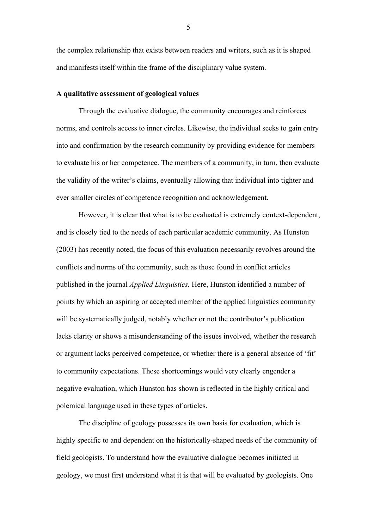the complex relationship that exists between readers and writers, such as it is shaped and manifests itself within the frame of the disciplinary value system.

#### **A qualitative assessment of geological values**

Through the evaluative dialogue, the community encourages and reinforces norms, and controls access to inner circles. Likewise, the individual seeks to gain entry into and confirmation by the research community by providing evidence for members to evaluate his or her competence. The members of a community, in turn, then evaluate the validity of the writer's claims, eventually allowing that individual into tighter and ever smaller circles of competence recognition and acknowledgement.

However, it is clear that what is to be evaluated is extremely context-dependent, and is closely tied to the needs of each particular academic community. As Hunston (2003) has recently noted, the focus of this evaluation necessarily revolves around the conflicts and norms of the community, such as those found in conflict articles published in the journal *Applied Linguistics.* Here, Hunston identified a number of points by which an aspiring or accepted member of the applied linguistics community will be systematically judged, notably whether or not the contributor's publication lacks clarity or shows a misunderstanding of the issues involved, whether the research or argument lacks perceived competence, or whether there is a general absence of 'fit' to community expectations. These shortcomings would very clearly engender a negative evaluation, which Hunston has shown is reflected in the highly critical and polemical language used in these types of articles.

The discipline of geology possesses its own basis for evaluation, which is highly specific to and dependent on the historically-shaped needs of the community of field geologists. To understand how the evaluative dialogue becomes initiated in geology, we must first understand what it is that will be evaluated by geologists. One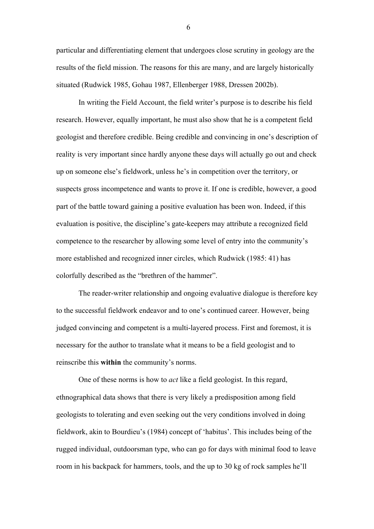particular and differentiating element that undergoes close scrutiny in geology are the results of the field mission. The reasons for this are many, and are largely historically situated (Rudwick 1985, Gohau 1987, Ellenberger 1988, Dressen 2002b).

In writing the Field Account, the field writer's purpose is to describe his field research. However, equally important, he must also show that he is a competent field geologist and therefore credible. Being credible and convincing in one's description of reality is very important since hardly anyone these days will actually go out and check up on someone else's fieldwork, unless he's in competition over the territory, or suspects gross incompetence and wants to prove it. If one is credible, however, a good part of the battle toward gaining a positive evaluation has been won. Indeed, if this evaluation is positive, the discipline's gate-keepers may attribute a recognized field competence to the researcher by allowing some level of entry into the community's more established and recognized inner circles, which Rudwick (1985: 41) has colorfully described as the "brethren of the hammer".

The reader-writer relationship and ongoing evaluative dialogue is therefore key to the successful fieldwork endeavor and to one's continued career. However, being judged convincing and competent is a multi-layered process. First and foremost, it is necessary for the author to translate what it means to be a field geologist and to reinscribe this **within** the community's norms.

One of these norms is how to *act* like a field geologist. In this regard, ethnographical data shows that there is very likely a predisposition among field geologists to tolerating and even seeking out the very conditions involved in doing fieldwork, akin to Bourdieu's (1984) concept of 'habitus'. This includes being of the rugged individual, outdoorsman type, who can go for days with minimal food to leave room in his backpack for hammers, tools, and the up to 30 kg of rock samples he'll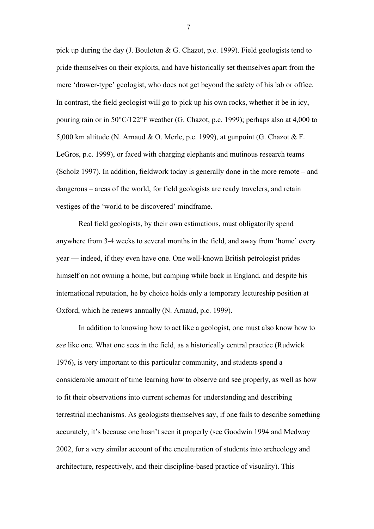pick up during the day (J. Bouloton & G. Chazot, p.c. 1999). Field geologists tend to pride themselves on their exploits, and have historically set themselves apart from the mere 'drawer-type' geologist, who does not get beyond the safety of his lab or office. In contrast, the field geologist will go to pick up his own rocks, whether it be in icy, pouring rain or in 50°C/122°F weather (G. Chazot, p.c. 1999); perhaps also at 4,000 to 5,000 km altitude (N. Arnaud & O. Merle, p.c. 1999), at gunpoint (G. Chazot & F. LeGros, p.c. 1999), or faced with charging elephants and mutinous research teams (Scholz 1997). In addition, fieldwork today is generally done in the more remote – and dangerous – areas of the world, for field geologists are ready travelers, and retain vestiges of the 'world to be discovered' mindframe.

Real field geologists, by their own estimations, must obligatorily spend anywhere from 3-4 weeks to several months in the field, and away from 'home' every year — indeed, if they even have one. One well-known British petrologist prides himself on not owning a home, but camping while back in England, and despite his international reputation, he by choice holds only a temporary lectureship position at Oxford, which he renews annually (N. Arnaud, p.c. 1999).

In addition to knowing how to act like a geologist, one must also know how to *see* like one. What one sees in the field, as a historically central practice (Rudwick 1976), is very important to this particular community, and students spend a considerable amount of time learning how to observe and see properly, as well as how to fit their observations into current schemas for understanding and describing terrestrial mechanisms. As geologists themselves say, if one fails to describe something accurately, it's because one hasn't seen it properly (see Goodwin 1994 and Medway 2002, for a very similar account of the enculturation of students into archeology and architecture, respectively, and their discipline-based practice of visuality). This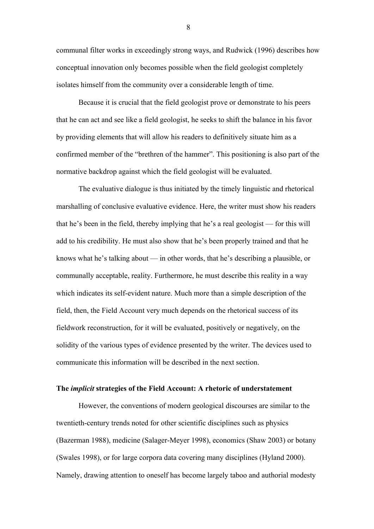communal filter works in exceedingly strong ways, and Rudwick (1996) describes how conceptual innovation only becomes possible when the field geologist completely isolates himself from the community over a considerable length of time.

Because it is crucial that the field geologist prove or demonstrate to his peers that he can act and see like a field geologist, he seeks to shift the balance in his favor by providing elements that will allow his readers to definitively situate him as a confirmed member of the "brethren of the hammer". This positioning is also part of the normative backdrop against which the field geologist will be evaluated.

The evaluative dialogue is thus initiated by the timely linguistic and rhetorical marshalling of conclusive evaluative evidence. Here, the writer must show his readers that he's been in the field, thereby implying that he's a real geologist — for this will add to his credibility. He must also show that he's been properly trained and that he knows what he's talking about — in other words, that he's describing a plausible, or communally acceptable, reality. Furthermore, he must describe this reality in a way which indicates its self-evident nature. Much more than a simple description of the field, then, the Field Account very much depends on the rhetorical success of its fieldwork reconstruction, for it will be evaluated, positively or negatively, on the solidity of the various types of evidence presented by the writer. The devices used to communicate this information will be described in the next section.

#### **The** *implicit* **strategies of the Field Account: A rhetoric of understatement**

However, the conventions of modern geological discourses are similar to the twentieth-century trends noted for other scientific disciplines such as physics (Bazerman 1988), medicine (Salager-Meyer 1998), economics (Shaw 2003) or botany (Swales 1998), or for large corpora data covering many disciplines (Hyland 2000). Namely, drawing attention to oneself has become largely taboo and authorial modesty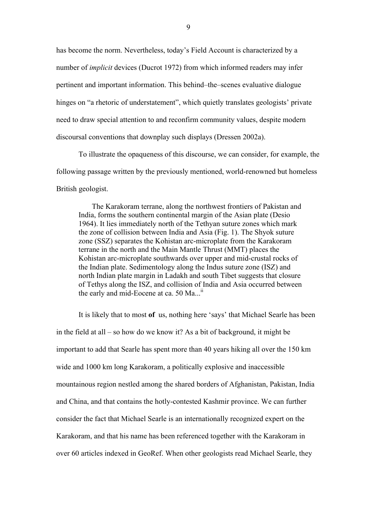has become the norm. Nevertheless, today's Field Account is characterized by a number of *implicit* devices (Ducrot 1972) from which informed readers may infer pertinent and important information. This behind–the–scenes evaluative dialogue hinges on "a rhetoric of understatement", which quietly translates geologists' private need to draw special attention to and reconfirm community values, despite modern discoursal conventions that downplay such displays (Dressen 2002a).

To illustrate the opaqueness of this discourse, we can consider, for example, the following passage written by the previously mentioned, world-renowned but homeless British geologist.

The Karakoram terrane, along the northwest frontiers of Pakistan and India, forms the southern continental margin of the Asian plate (Desio 1964). It lies immediately north of the Tethyan suture zones which mark the zone of collision between India and Asia (Fig. 1). The Shyok suture zone (SSZ) separates the Kohistan arc-microplate from the Karakoram terrane in the north and the Main Mantle Thrust (MMT) places the Kohistan arc-microplate southwards over upper and mid-crustal rocks of the Indian plate. Sedimentology along the Indus suture zone (ISZ) and north Indian plate margin in Ladakh and south Tibet suggests that closure of Tethys along the ISZ, and collision of India and Asia occurred between the early and mid-Eocene at ca. 50  $Ma...$ <sup>ii</sup>

It is likely that to most **of** us, nothing here 'says' that Michael Searle has been in the field at all – so how do we know it? As a bit of background, it might be important to add that Searle has spent more than 40 years hiking all over the 150 km wide and 1000 km long Karakoram, a politically explosive and inaccessible mountainous region nestled among the shared borders of Afghanistan, Pakistan, India and China, and that contains the hotly-contested Kashmir province. We can further consider the fact that Michael Searle is an internationally recognized expert on the Karakoram, and that his name has been referenced together with the Karakoram in over 60 articles indexed in GeoRef. When other geologists read Michael Searle, they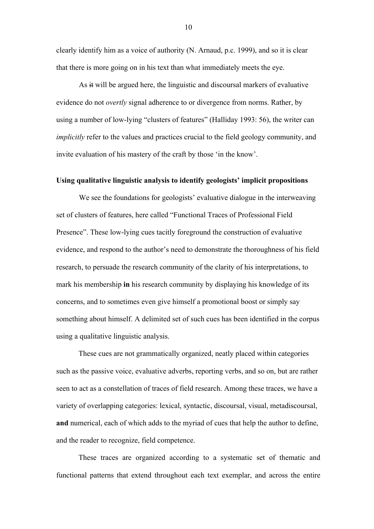clearly identify him as a voice of authority (N. Arnaud, p.c. 1999), and so it is clear that there is more going on in his text than what immediately meets the eye.

As it will be argued here, the linguistic and discoursal markers of evaluative evidence do not *overtly* signal adherence to or divergence from norms. Rather, by using a number of low-lying "clusters of features" (Halliday 1993: 56), the writer can *implicitly* refer to the values and practices crucial to the field geology community, and invite evaluation of his mastery of the craft by those 'in the know'.

#### **Using qualitative linguistic analysis to identify geologists' implicit propositions**

We see the foundations for geologists' evaluative dialogue in the interweaving set of clusters of features, here called "Functional Traces of Professional Field Presence". These low-lying cues tacitly foreground the construction of evaluative evidence, and respond to the author's need to demonstrate the thoroughness of his field research, to persuade the research community of the clarity of his interpretations, to mark his membership **in** his research community by displaying his knowledge of its concerns, and to sometimes even give himself a promotional boost or simply say something about himself. A delimited set of such cues has been identified in the corpus using a qualitative linguistic analysis.

These cues are not grammatically organized, neatly placed within categories such as the passive voice, evaluative adverbs, reporting verbs, and so on, but are rather seen to act as a constellation of traces of field research. Among these traces, we have a variety of overlapping categories: lexical, syntactic, discoursal, visual, metadiscoursal, **and** numerical, each of which adds to the myriad of cues that help the author to define, and the reader to recognize, field competence.

These traces are organized according to a systematic set of thematic and functional patterns that extend throughout each text exemplar, and across the entire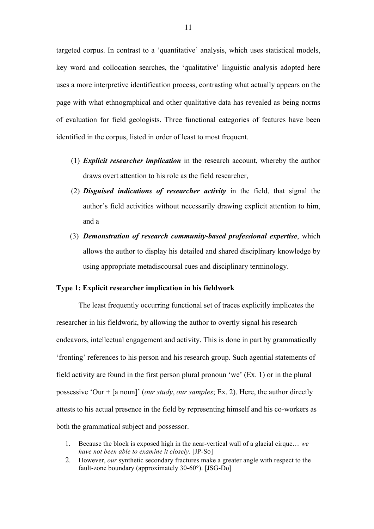targeted corpus. In contrast to a 'quantitative' analysis, which uses statistical models, key word and collocation searches, the 'qualitative' linguistic analysis adopted here uses a more interpretive identification process, contrasting what actually appears on the page with what ethnographical and other qualitative data has revealed as being norms of evaluation for field geologists. Three functional categories of features have been identified in the corpus, listed in order of least to most frequent.

- (1) *Explicit researcher implication* in the research account, whereby the author draws overt attention to his role as the field researcher,
- (2) *Disguised indications of researcher activity* in the field, that signal the author's field activities without necessarily drawing explicit attention to him, and a
- (3) *Demonstration of research community-based professional expertise*, which allows the author to display his detailed and shared disciplinary knowledge by using appropriate metadiscoursal cues and disciplinary terminology.

#### **Type 1: Explicit researcher implication in his fieldwork**

The least frequently occurring functional set of traces explicitly implicates the researcher in his fieldwork, by allowing the author to overtly signal his research endeavors, intellectual engagement and activity. This is done in part by grammatically 'fronting' references to his person and his research group. Such agential statements of field activity are found in the first person plural pronoun 'we' (Ex. 1) or in the plural possessive 'Our + [a noun]' (*our study*, *our samples*; Ex. 2). Here, the author directly attests to his actual presence in the field by representing himself and his co-workers as both the grammatical subject and possessor.

- 1. Because the block is exposed high in the near-vertical wall of a glacial cirque… *we have not been able to examine it closely*. [JP-So]
- 2. However, *our* synthetic secondary fractures make a greater angle with respect to the fault-zone boundary (approximately 30-60°). [JSG-Do]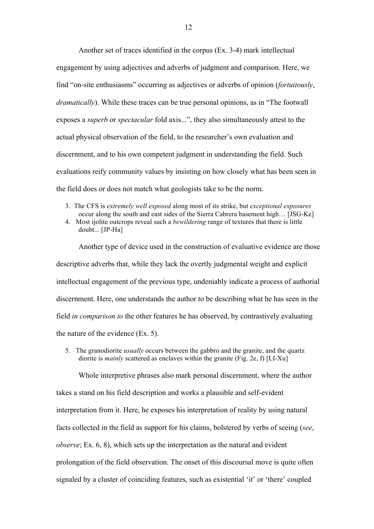Another set of traces identified in the corpus (Ex. 3-4) mark intellectual engagement by using adjectives and adverbs of judgment and comparison. Here, we find "on-site enthusiasms" occurring as adjectives or adverbs of opinion (*fortuitously*, *dramatically*). While these traces can be true personal opinions, as in "The footwall exposes a *superb* or *spectacular* fold axis...", they also simultaneously attest to the actual physical observation of the field, to the researcher's own evaluation and discernment, and to his own competent judgment in understanding the field. Such evaluations reify community values by insisting on how closely what has been seen in the field does or does not match what geologists take to be the norm.

- 3. The CFS is *extremely well exposed* along most of its strike, but *exceptional exposures* occur along the south and east sides of the Sierra Cabrera basement high… [JSG-Ke]
- 4. Most ijolite outcrops reveal such a *bewildering* range of textures that there is little doubt... [JP-Ha]

Another type of device used in the construction of evaluative evidence are those descriptive adverbs that, while they lack the overtly judgmental weight and explicit intellectual engagement of the previous type, undeniably indicate a process of authorial discernment. Here, one understands the author to be describing what he has seen in the field *in comparison to* the other features he has observed, by contrastively evaluating the nature of the evidence (Ex. 5).

5. The granodiorite *usually* occurs between the gabbro and the granite, and the quartz diorite is *mainly* scattered as enclaves within the granite (Fig. 2e, f) [LI-Xu]

Whole interpretive phrases also mark personal discernment, where the author takes a stand on his field description and works a plausible and self-evident interpretation from it. Here, he exposes his interpretation of reality by using natural facts collected in the field as support for his claims, bolstered by verbs of seeing (*see*, *observe*; Ex. 6, 8), which sets up the interpretation as the natural and evident prolongation of the field observation. The onset of this discoursal move is quite often signaled by a cluster of coinciding features, such as existential 'it' or 'there' coupled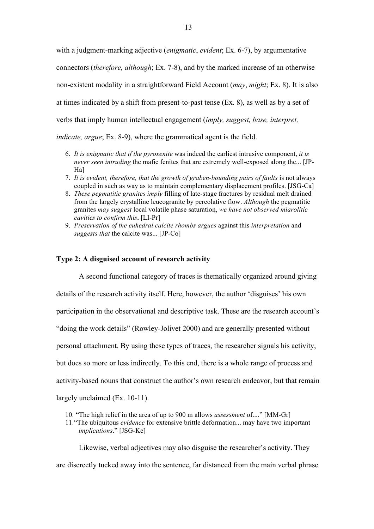with a judgment-marking adjective (*enigmatic*, *evident*; Ex. 6-7), by argumentative connectors (*therefore, although*; Ex. 7-8), and by the marked increase of an otherwise non-existent modality in a straightforward Field Account (*may*, *might*; Ex. 8). It is also at times indicated by a shift from present-to-past tense (Ex. 8), as well as by a set of verbs that imply human intellectual engagement (*imply, suggest, base, interpret,* 

*indicate, argue*; Ex. 8-9), where the grammatical agent is the field.

- 6. *It is enigmatic that if the pyroxenite* was indeed the earliest intrusive component, *it is never seen intruding* the mafic fenites that are extremely well-exposed along the... [JP-Ha]
- 7. *It is evident, therefore, that the growth of graben-bounding pairs of faults* is not always coupled in such as way as to maintain complementary displacement profiles. [JSG-Ca]
- 8. *These pegmatitic granites imply* filling of late-stage fractures by residual melt drained from the largely crystalline leucogranite by percolative flow. *Although* the pegmatitic granites *may suggest* local volatile phase saturation, *we have not observed miarolitic cavities to confirm this***.** [LI-Pr]
- 9. *Preservation of the euhedral calcite rhombs argues* against this *interpretation* and *suggests that* the calcite was... [JP-Co]

#### **Type 2: A disguised account of research activity**

A second functional category of traces is thematically organized around giving

details of the research activity itself. Here, however, the author 'disguises' his own

participation in the observational and descriptive task. These are the research account's

"doing the work details" (Rowley-Jolivet 2000) and are generally presented without

personal attachment. By using these types of traces, the researcher signals his activity,

but does so more or less indirectly. To this end, there is a whole range of process and

activity-based nouns that construct the author's own research endeavor, but that remain

largely unclaimed (Ex. 10-11).

- 10. "The high relief in the area of up to 900 m allows *assessment* of...." [MM-Gr]
- 11."The ubiquitous *evidence* for extensive brittle deformation... may have two important *implications*." [JSG-Ke]

Likewise, verbal adjectives may also disguise the researcher's activity. They are discreetly tucked away into the sentence, far distanced from the main verbal phrase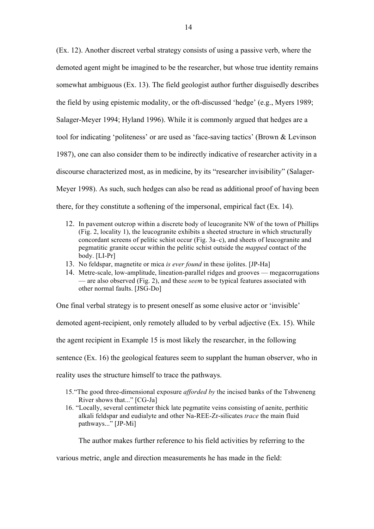(Ex. 12). Another discreet verbal strategy consists of using a passive verb, where the demoted agent might be imagined to be the researcher, but whose true identity remains somewhat ambiguous (Ex. 13). The field geologist author further disguisedly describes the field by using epistemic modality, or the oft-discussed 'hedge' (e.g., Myers 1989; Salager-Meyer 1994; Hyland 1996). While it is commonly argued that hedges are a tool for indicating 'politeness' or are used as 'face-saving tactics' (Brown & Levinson 1987), one can also consider them to be indirectly indicative of researcher activity in a discourse characterized most, as in medicine, by its "researcher invisibility" (Salager-Meyer 1998). As such, such hedges can also be read as additional proof of having been there, for they constitute a softening of the impersonal, empirical fact (Ex. 14).

- 12. In pavement outcrop within a discrete body of leucogranite NW of the town of Phillips (Fig. 2, locality 1), the leucogranite exhibits a sheeted structure in which structurally concordant screens of pelitic schist occur (Fig. 3a–c), and sheets of leucogranite and pegmatitic granite occur within the pelitic schist outside the *mapped* contact of the body. [LI-Pr]
- 13. No feldspar, magnetite or mica *is ever found* in these ijolites. [JP-Ha]
- 14. Metre-scale, low-amplitude, lineation-parallel ridges and grooves megacorrugations — are also observed (Fig. 2), and these *seem* to be typical features associated with other normal faults. [JSG-Do]

One final verbal strategy is to present oneself as some elusive actor or 'invisible'

demoted agent-recipient, only remotely alluded to by verbal adjective (Ex. 15). While

the agent recipient in Example 15 is most likely the researcher, in the following

sentence (Ex. 16) the geological features seem to supplant the human observer, who in

reality uses the structure himself to trace the pathways.

- 15."The good three-dimensional exposure *afforded by* the incised banks of the Tshweneng River shows that..." [CG-Ja]
- 16. "Locally, several centimeter thick late pegmatite veins consisting of aenite, perthitic alkali feldspar and eudialyte and other Na-REE-Zr-silicates *trace* the main fluid pathways..." [JP-Mi]

The author makes further reference to his field activities by referring to the

various metric, angle and direction measurements he has made in the field: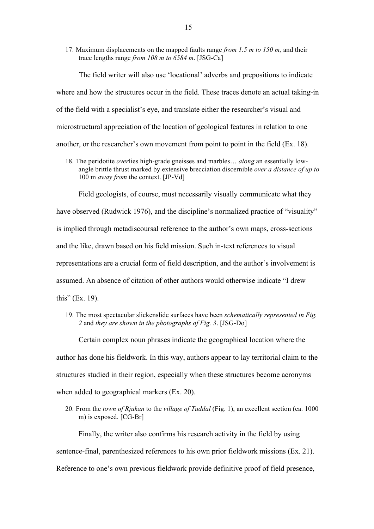17. Maximum displacements on the mapped faults range *from 1.5 m to 150 m,* and their trace lengths range *from 108 m to 6584 m*. [JSG-Ca]

The field writer will also use 'locational' adverbs and prepositions to indicate where and how the structures occur in the field. These traces denote an actual taking-in of the field with a specialist's eye, and translate either the researcher's visual and microstructural appreciation of the location of geological features in relation to one another, or the researcher's own movement from point to point in the field (Ex. 18).

18. The peridotite *over*lies high-grade gneisses and marbles… *along* an essentially lowangle brittle thrust marked by extensive brecciation discernible *over a distance of up to* 100 m *away from* the context. [JP-Vd]

Field geologists, of course, must necessarily visually communicate what they have observed (Rudwick 1976), and the discipline's normalized practice of "visuality" is implied through metadiscoursal reference to the author's own maps, cross-sections and the like, drawn based on his field mission. Such in-text references to visual representations are a crucial form of field description, and the author's involvement is assumed. An absence of citation of other authors would otherwise indicate "I drew this" (Ex. 19).

19. The most spectacular slickenslide surfaces have been *schematically represented in Fig. 2* and *they are shown in the photographs of Fig. 3*. [JSG-Do]

Certain complex noun phrases indicate the geographical location where the author has done his fieldwork. In this way, authors appear to lay territorial claim to the structures studied in their region, especially when these structures become acronyms when added to geographical markers (Ex. 20).

20. From the *town of Rjukan* to the *village of Tuddal* (Fig. 1), an excellent section (ca. 1000 m) is exposed. [CG-Br]

Finally, the writer also confirms his research activity in the field by using sentence-final, parenthesized references to his own prior fieldwork missions (Ex. 21). Reference to one's own previous fieldwork provide definitive proof of field presence,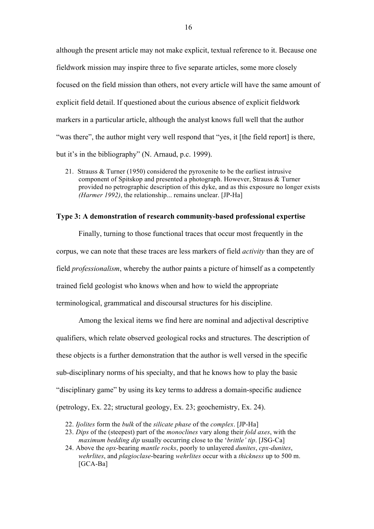although the present article may not make explicit, textual reference to it. Because one fieldwork mission may inspire three to five separate articles, some more closely focused on the field mission than others, not every article will have the same amount of explicit field detail. If questioned about the curious absence of explicit fieldwork markers in a particular article, although the analyst knows full well that the author "was there", the author might very well respond that "yes, it [the field report] is there, but it's in the bibliography" (N. Arnaud, p.c. 1999).

21. Strauss & Turner (1950) considered the pyroxenite to be the earliest intrusive component of Spitskop and presented a photograph. However, Strauss & Turner provided no petrographic description of this dyke, and as this exposure no longer exists *(Harmer 1992)*, the relationship... remains unclear. [JP-Ha]

#### **Type 3: A demonstration of research community-based professional expertise**

Finally, turning to those functional traces that occur most frequently in the corpus, we can note that these traces are less markers of field *activity* than they are of field *professionalism*, whereby the author paints a picture of himself as a competently trained field geologist who knows when and how to wield the appropriate terminological, grammatical and discoursal structures for his discipline.

Among the lexical items we find here are nominal and adjectival descriptive qualifiers, which relate observed geological rocks and structures. The description of these objects is a further demonstration that the author is well versed in the specific sub-disciplinary norms of his specialty, and that he knows how to play the basic "disciplinary game" by using its key terms to address a domain-specific audience (petrology, Ex. 22; structural geology, Ex. 23; geochemistry, Ex. 24).

- 22. *Ijolites* form the *bulk* of the *silicate phase* of the *complex*. [JP-Ha]
- 23. *Dips* of the (steepest) part of the *monoclines* vary along their *fold axes*, with the *maximum bedding dip* usually occurring close to the '*brittle' tip*. [JSG-Ca]
- 24. Above the *opx*-bearing *mantle rocks*, poorly to unlayered *dunites*, *cpx-dunites*, *wehrlites*, and *plagioclase*-bearing *wehrlites* occur with a *thickness* up to 500 m. [GCA-Ba]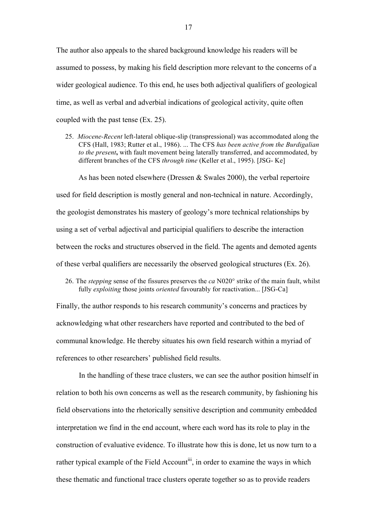The author also appeals to the shared background knowledge his readers will be assumed to possess, by making his field description more relevant to the concerns of a wider geological audience. To this end, he uses both adjectival qualifiers of geological time, as well as verbal and adverbial indications of geological activity, quite often coupled with the past tense (Ex. 25).

25. *Miocene-Recent* left-lateral oblique-slip (transpressional) was accommodated along the CFS (Hall, 1983; Rutter et al., 1986). ... The CFS *has been active from the Burdigalian to the present***,** with fault movement being laterally transferred, and accommodated, by different branches of the CFS *through time* (Keller et al., 1995). [JSG- Ke]

As has been noted elsewhere (Dressen  $&$  Swales 2000), the verbal repertoire used for field description is mostly general and non-technical in nature. Accordingly, the geologist demonstrates his mastery of geology's more technical relationships by using a set of verbal adjectival and participial qualifiers to describe the interaction between the rocks and structures observed in the field. The agents and demoted agents of these verbal qualifiers are necessarily the observed geological structures (Ex. 26).

26. The *stepping* sense of the fissures preserves the *ca* N020° strike of the main fault, whilst fully *exploiting* those joints *oriented* favourably for reactivation... [JSG-Ca]

Finally, the author responds to his research community's concerns and practices by acknowledging what other researchers have reported and contributed to the bed of communal knowledge. He thereby situates his own field research within a myriad of references to other researchers' published field results.

In the handling of these trace clusters, we can see the author position himself in relation to both his own concerns as well as the research community, by fashioning his field observations into the rhetorically sensitive description and community embedded interpretation we find in the end account, where each word has its role to play in the construction of evaluative evidence. To illustrate how this is done, let us now turn to a rather typical example of the Field Account<sup>iii</sup>, in order to examine the ways in which these thematic and functional trace clusters operate together so as to provide readers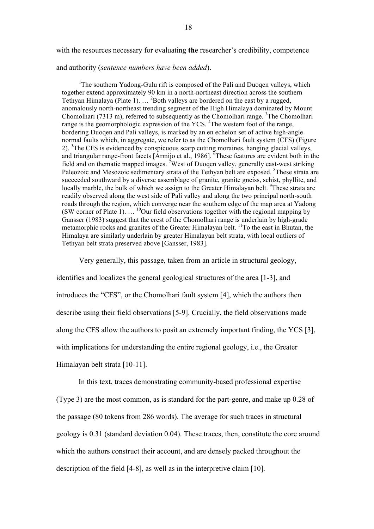with the resources necessary for evaluating **the** researcher's credibility, competence

#### and authority (*sentence numbers have been added*).

<sup>1</sup>The southern Yadong-Gulu rift is composed of the Pali and Duoqen valleys, which together extend approximately 90 km in a north-northeast direction across the southern Tethyan Himalaya (Plate 1).  $\ldots$  <sup>2</sup>Both valleys are bordered on the east by a rugged, anomalously north-northeast trending segment of the High Himalaya dominated by Mount Chomolhari (7313 m), referred to subsequently as the Chomolhari range.<sup>3</sup>The Chomolhari range is the geomorphologic expression of the YCS.<sup>4</sup>The western foot of the range, bordering Duoqen and Pali valleys, is marked by an en echelon set of active high-angle normal faults which, in aggregate, we refer to as the Chomolhari fault system (CFS) (Figure 2). <sup>5</sup>The CFS is evidenced by conspicuous scarp cutting moraines, hanging glacial valleys, and triangular range-front facets [Armijo et al., 1986]. <sup>6</sup>These features are evident both in the field and on thematic mapped images. <sup>7</sup>West of Duoqen valley, generally east-west striking Paleozoic and Mesozoic sedimentary strata of the Tethyan belt are exposed. <sup>8</sup>These strata are succeeded southward by a diverse assemblage of granite, granite gneiss, schist, phyllite, and locally marble, the bulk of which we assign to the Greater Himalayan belt. <sup>9</sup>These strata are readily observed along the west side of Pali valley and along the two principal north-south roads through the region, which converge near the southern edge of the map area at Yadong (SW corner of Plate 1). … <sup>10</sup>Our field observations together with the regional mapping by Gansser (1983) suggest that the crest of the Chomolhari range is underlain by high-grade metamorphic rocks and granites of the Greater Himalayan belt. <sup>11</sup>To the east in Bhutan, the Himalaya are similarly underlain by greater Himalayan belt strata, with local outliers of Tethyan belt strata preserved above [Gansser, 1983].

Very generally, this passage, taken from an article in structural geology,

identifies and localizes the general geological structures of the area [1-3], and introduces the "CFS", or the Chomolhari fault system [4], which the authors then describe using their field observations [5-9]. Crucially, the field observations made along the CFS allow the authors to posit an extremely important finding, the YCS [3], with implications for understanding the entire regional geology, i.e., the Greater Himalayan belt strata [10-11].

In this text, traces demonstrating community-based professional expertise (Type 3) are the most common, as is standard for the part-genre, and make up 0.28 of the passage (80 tokens from 286 words). The average for such traces in structural geology is 0.31 (standard deviation 0.04). These traces, then, constitute the core around which the authors construct their account, and are densely packed throughout the description of the field [4-8], as well as in the interpretive claim [10].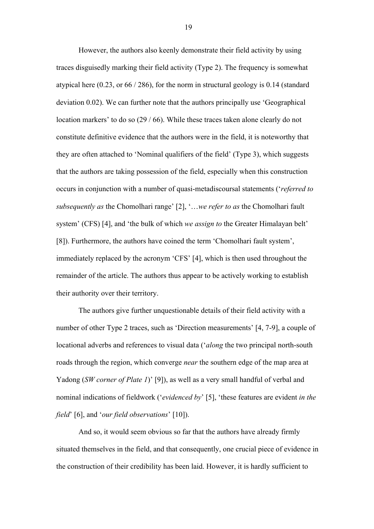However, the authors also keenly demonstrate their field activity by using traces disguisedly marking their field activity (Type 2). The frequency is somewhat atypical here (0.23, or 66 / 286), for the norm in structural geology is 0.14 (standard deviation 0.02). We can further note that the authors principally use 'Geographical location markers' to do so (29 / 66). While these traces taken alone clearly do not constitute definitive evidence that the authors were in the field, it is noteworthy that they are often attached to 'Nominal qualifiers of the field' (Type 3), which suggests that the authors are taking possession of the field, especially when this construction occurs in conjunction with a number of quasi-metadiscoursal statements ('*referred to subsequently as* the Chomolhari range' [2], '…*we refer to as* the Chomolhari fault system' (CFS) [4], and 'the bulk of which *we assign to* the Greater Himalayan belt' [8]). Furthermore, the authors have coined the term 'Chomolhari fault system', immediately replaced by the acronym 'CFS' [4], which is then used throughout the remainder of the article. The authors thus appear to be actively working to establish their authority over their territory.

The authors give further unquestionable details of their field activity with a number of other Type 2 traces, such as 'Direction measurements' [4, 7-9], a couple of locational adverbs and references to visual data ('*along* the two principal north-south roads through the region, which converge *near* the southern edge of the map area at Yadong (*SW corner of Plate 1*)' [9]), as well as a very small handful of verbal and nominal indications of fieldwork ('*evidenced by*' [5], 'these features are evident *in the field*' [6], and '*our field observations*' [10]).

And so, it would seem obvious so far that the authors have already firmly situated themselves in the field, and that consequently, one crucial piece of evidence in the construction of their credibility has been laid. However, it is hardly sufficient to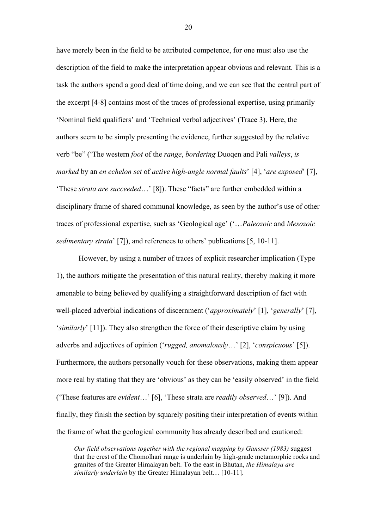have merely been in the field to be attributed competence, for one must also use the description of the field to make the interpretation appear obvious and relevant. This is a task the authors spend a good deal of time doing, and we can see that the central part of the excerpt [4-8] contains most of the traces of professional expertise, using primarily 'Nominal field qualifiers' and 'Technical verbal adjectives' (Trace 3). Here, the authors seem to be simply presenting the evidence, further suggested by the relative verb "be" ('The western *foot* of the *range*, *bordering* Duoqen and Pali *valleys*, *is marked* by an *en echelon set* of *active high-angle normal faults*' [4], '*are exposed*' [7], 'These *strata are succeeded*…' [8]). These "facts" are further embedded within a disciplinary frame of shared communal knowledge, as seen by the author's use of other traces of professional expertise, such as 'Geological age' ('…*Paleozoic* and *Mesozoic sedimentary strata*' [7]), and references to others' publications [5, 10-11].

However, by using a number of traces of explicit researcher implication (Type 1), the authors mitigate the presentation of this natural reality, thereby making it more amenable to being believed by qualifying a straightforward description of fact with well-placed adverbial indications of discernment ('*approximately*' [1], '*generally*' [7], '*similarly*' [11]). They also strengthen the force of their descriptive claim by using adverbs and adjectives of opinion ('*rugged, anomalously*…' [2], '*conspicuous*' [5]). Furthermore, the authors personally vouch for these observations, making them appear more real by stating that they are 'obvious' as they can be 'easily observed' in the field ('These features are *evident*…' [6], 'These strata are *readily observed*…' [9]). And finally, they finish the section by squarely positing their interpretation of events within the frame of what the geological community has already described and cautioned:

*Our field observations together with the regional mapping by Gansser (1983)* suggest that the crest of the Chomolhari range is underlain by high-grade metamorphic rocks and granites of the Greater Himalayan belt. To the east in Bhutan, *the Himalaya are similarly underlain* by the Greater Himalayan belt… [10-11].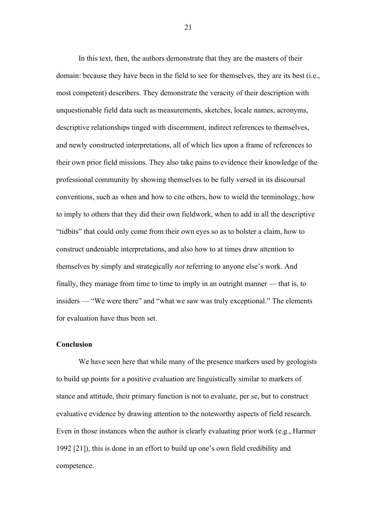In this text, then, the authors demonstrate that they are the masters of their domain: because they have been in the field to see for themselves, they are its best (i.e., most competent) describers. They demonstrate the veracity of their description with unquestionable field data such as measurements, sketches, locale names, acronyms, descriptive relationships tinged with discernment, indirect references to themselves, and newly constructed interpretations, all of which lies upon a frame of references to their own prior field missions. They also take pains to evidence their knowledge of the professional community by showing themselves to be fully versed in its discoursal conventions, such as when and how to cite others, how to wield the terminology, how to imply to others that they did their own fieldwork, when to add in all the descriptive "tidbits" that could only come from their own eyes so as to bolster a claim, how to construct undeniable interpretations, and also how to at times draw attention to themselves by simply and strategically *not* referring to anyone else's work. And finally, they manage from time to time to imply in an outright manner — that is, to insiders — "We were there" and "what we saw was truly exceptional." The elements for evaluation have thus been set.

#### **Conclusion**

We have seen here that while many of the presence markers used by geologists to build up points for a positive evaluation are linguistically similar to markers of stance and attitude, their primary function is not to evaluate, per se, but to construct evaluative evidence by drawing attention to the noteworthy aspects of field research. Even in those instances when the author is clearly evaluating prior work (e.g., Harmer 1992 [21]), this is done in an effort to build up one's own field credibility and competence.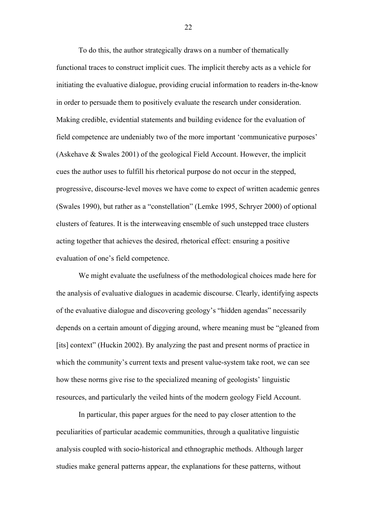To do this, the author strategically draws on a number of thematically functional traces to construct implicit cues. The implicit thereby acts as a vehicle for initiating the evaluative dialogue, providing crucial information to readers in-the-know in order to persuade them to positively evaluate the research under consideration. Making credible, evidential statements and building evidence for the evaluation of field competence are undeniably two of the more important 'communicative purposes' (Askehave & Swales 2001) of the geological Field Account. However, the implicit cues the author uses to fulfill his rhetorical purpose do not occur in the stepped, progressive, discourse-level moves we have come to expect of written academic genres (Swales 1990), but rather as a "constellation" (Lemke 1995, Schryer 2000) of optional clusters of features. It is the interweaving ensemble of such unstepped trace clusters acting together that achieves the desired, rhetorical effect: ensuring a positive evaluation of one's field competence.

We might evaluate the usefulness of the methodological choices made here for the analysis of evaluative dialogues in academic discourse. Clearly, identifying aspects of the evaluative dialogue and discovering geology's "hidden agendas" necessarily depends on a certain amount of digging around, where meaning must be "gleaned from [its] context" (Huckin 2002). By analyzing the past and present norms of practice in which the community's current texts and present value-system take root, we can see how these norms give rise to the specialized meaning of geologists' linguistic resources, and particularly the veiled hints of the modern geology Field Account.

In particular, this paper argues for the need to pay closer attention to the peculiarities of particular academic communities, through a qualitative linguistic analysis coupled with socio-historical and ethnographic methods. Although larger studies make general patterns appear, the explanations for these patterns, without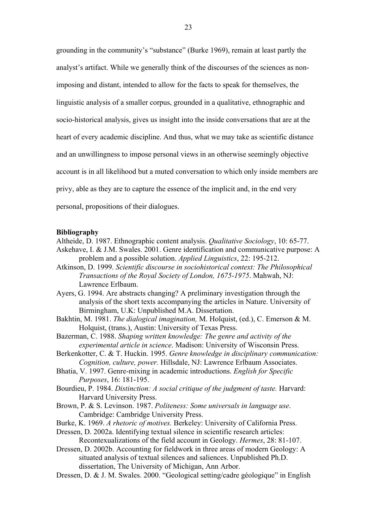grounding in the community's "substance" (Burke 1969), remain at least partly the analyst's artifact. While we generally think of the discourses of the sciences as nonimposing and distant, intended to allow for the facts to speak for themselves, the linguistic analysis of a smaller corpus, grounded in a qualitative, ethnographic and socio-historical analysis, gives us insight into the inside conversations that are at the heart of every academic discipline. And thus, what we may take as scientific distance and an unwillingness to impose personal views in an otherwise seemingly objective account is in all likelihood but a muted conversation to which only inside members are privy, able as they are to capture the essence of the implicit and, in the end very personal, propositions of their dialogues.

#### **Bibliography**

- Altheide, D. 1987. Ethnographic content analysis. *Qualitative Sociology*, 10: 65-77. Askehave, I. & J.M. Swales. 2001. Genre identification and communicative purpose: A problem and a possible solution. *Applied Linguistics*, 22: 195-212.
- Atkinson, D. 1999. *Scientific discourse in sociohistorical context: The Philosophical Transactions of the Royal Society of London, 1675-1975*. Mahwah, NJ: Lawrence Erlbaum.
- Ayers, G. 1994. Are abstracts changing? A preliminary investigation through the analysis of the short texts accompanying the articles in Nature. University of Birmingham, U.K: Unpublished M.A. Dissertation.
- Bakhtin, M. 1981. *The dialogical imagination,* M. Holquist, (ed.), C. Emerson & M. Holquist, (trans.), Austin: University of Texas Press.
- Bazerman, C. 1988. *Shaping written knowledge: The genre and activity of the experimental article in science*. Madison: University of Wisconsin Press.
- Berkenkotter, C. & T. Huckin. 1995. *Genre knowledge in disciplinary communication: Cognition, culture, power.* Hillsdale, NJ: Lawrence Erlbaum Associates.
- Bhatia, V. 1997. Genre-mixing in academic introductions. *English for Specific Purposes*, 16: 181-195.
- Bourdieu, P. 1984. *Distinction: A social critique of the judgment of taste.* Harvard: Harvard University Press.
- Brown, P. & S. Levinson. 1987. *Politeness: Some universals in language use*. Cambridge: Cambridge University Press.
- Burke, K. 1969. *A rhetoric of motives.* Berkeley: University of California Press.
- Dressen, D. 2002a. Identifying textual silence in scientific research articles: Recontexualizations of the field account in Geology. *Hermes*, 28: 81-107.
- Dressen, D. 2002b. Accounting for fieldwork in three areas of modern Geology: A situated analysis of textual silences and saliences. Unpublished Ph.D. dissertation, The University of Michigan, Ann Arbor.
- Dressen, D. & J. M. Swales. 2000. "Geological setting/cadre géologique" in English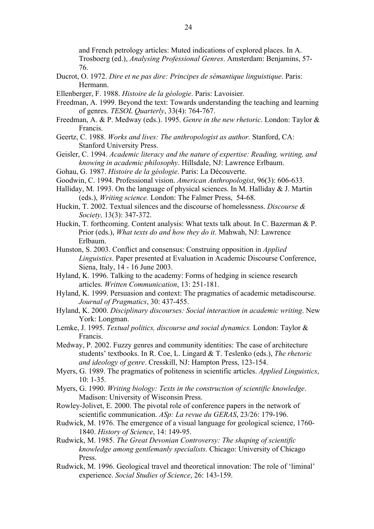and French petrology articles: Muted indications of explored places. In A. Trosboerg (ed.), *Analysing Professional Genres*. Amsterdam: Benjamins, 57- 76.

- Ducrot, O. 1972. *Dire et ne pas dire: Principes de sémantique linguistique*. Paris: Hermann.
- Ellenberger, F. 1988. *Histoire de la géologie*. Paris: Lavoisier.
- Freedman, A. 1999. Beyond the text: Towards understanding the teaching and learning of genres. *TESOL Quarterly*, 33(4): 764-767.
- Freedman, A. & P. Medway (eds.). 1995. *Genre in the new rhetoric*. London: Taylor & Francis.
- Geertz, C. 1988. *Works and lives: The anthropologist as author.* Stanford, CA: Stanford University Press.
- Geisler, C. 1994. *Academic literacy and the nature of expertise: Reading, writing, and knowing in academic philosophy*. Hillsdale, NJ: Lawrence Erlbaum.
- Gohau, G. 1987. *Histoire de la géologie*. Paris: La Découverte.
- Goodwin, C. 1994. Professional vision. *American Anthropologist*, 96(3): 606-633.
- Halliday, M. 1993. On the language of physical sciences. In M. Halliday  $& J.$  Martin (eds.), *Writing science.* London: The Falmer Press, 54-68.
- Huckin, T. 2002. Textual silences and the discourse of homelessness. *Discourse & Society,* 13(3): 347-372.
- Huckin, T. forthcoming. Content analysis: What texts talk about. In C. Bazerman & P. Prior (eds.), *What texts do and how they do it*. Mahwah, NJ: Lawrence Erlbaum.
- Hunston, S. 2003. Conflict and consensus: Construing opposition in *Applied Linguistics*. Paper presented at Evaluation in Academic Discourse Conference, Siena, Italy, 14 - 16 June 2003.
- Hyland, K. 1996. Talking to the academy: Forms of hedging in science research articles. *Written Communication*, 13: 251-181.
- Hyland, K. 1999. Persuasion and context: The pragmatics of academic metadiscourse. *Journal of Pragmatics*, 30: 437-455.
- Hyland, K. 2000. *Disciplinary discourses: Social interaction in academic writing*. New York: Longman.
- Lemke, J. 1995. *Textual politics, discourse and social dynamics.* London: Taylor & Francis.
- Medway, P. 2002. Fuzzy genres and community identities: The case of architecture students' textbooks. In R. Coe, L. Lingard & T. Teslenko (eds.), *The rhetoric and ideology of genre*. Cresskill, NJ: Hampton Press, 123-154.
- Myers, G. 1989. The pragmatics of politeness in scientific articles. *Applied Linguistics*, 10: 1-35.
- Myers, G. 1990. *Writing biology: Texts in the construction of scientific knowledge*. Madison: University of Wisconsin Press.
- Rowley-Jolivet, E. 2000. The pivotal role of conference papers in the network of scientific communication. *ASp: La revue du GERAS*, 23/26: 179-196.
- Rudwick, M. 1976. The emergence of a visual language for geological science, 1760- 1840. *History of Science*, 14: 149-95.
- Rudwick, M. 1985. *The Great Devonian Controversy: The shaping of scientific knowledge among gentlemanly specialists.* Chicago: University of Chicago Press.
- Rudwick, M. 1996. Geological travel and theoretical innovation: The role of 'liminal' experience. *Social Studies of Science*, 26: 143-159.